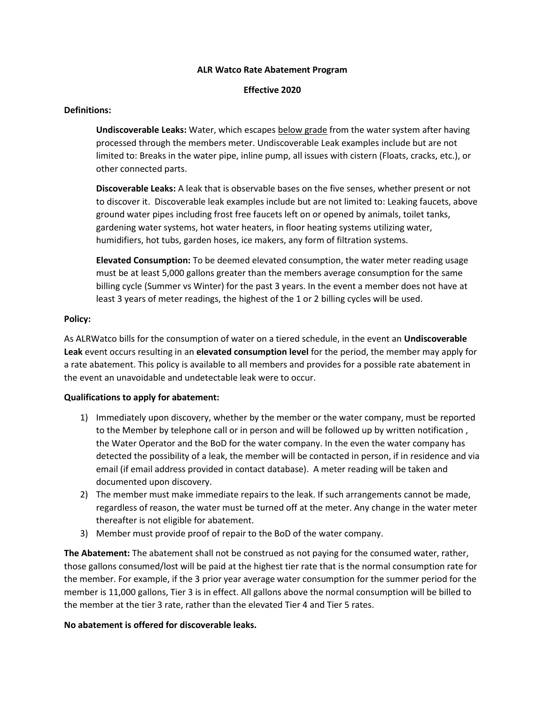#### **ALR Watco Rate Abatement Program**

#### **Effective 2020**

## **Definitions:**

**Undiscoverable Leaks:** Water, which escapes below grade from the water system after having processed through the members meter. Undiscoverable Leak examples include but are not limited to: Breaks in the water pipe, inline pump, all issues with cistern (Floats, cracks, etc.), or other connected parts.

**Discoverable Leaks:** A leak that is observable bases on the five senses, whether present or not to discover it. Discoverable leak examples include but are not limited to: Leaking faucets, above ground water pipes including frost free faucets left on or opened by animals, toilet tanks, gardening water systems, hot water heaters, in floor heating systems utilizing water, humidifiers, hot tubs, garden hoses, ice makers, any form of filtration systems.

**Elevated Consumption:** To be deemed elevated consumption, the water meter reading usage must be at least 5,000 gallons greater than the members average consumption for the same billing cycle (Summer vs Winter) for the past 3 years. In the event a member does not have at least 3 years of meter readings, the highest of the 1 or 2 billing cycles will be used.

## **Policy:**

As ALRWatco bills for the consumption of water on a tiered schedule, in the event an **Undiscoverable Leak** event occurs resulting in an **elevated consumption level** for the period, the member may apply for a rate abatement. This policy is available to all members and provides for a possible rate abatement in the event an unavoidable and undetectable leak were to occur.

## **Qualifications to apply for abatement:**

- 1) Immediately upon discovery, whether by the member or the water company, must be reported to the Member by telephone call or in person and will be followed up by written notification , the Water Operator and the BoD for the water company. In the even the water company has detected the possibility of a leak, the member will be contacted in person, if in residence and via email (if email address provided in contact database). A meter reading will be taken and documented upon discovery.
- 2) The member must make immediate repairs to the leak. If such arrangements cannot be made, regardless of reason, the water must be turned off at the meter. Any change in the water meter thereafter is not eligible for abatement.
- 3) Member must provide proof of repair to the BoD of the water company.

**The Abatement:** The abatement shall not be construed as not paying for the consumed water, rather, those gallons consumed/lost will be paid at the highest tier rate that is the normal consumption rate for the member. For example, if the 3 prior year average water consumption for the summer period for the member is 11,000 gallons, Tier 3 is in effect. All gallons above the normal consumption will be billed to the member at the tier 3 rate, rather than the elevated Tier 4 and Tier 5 rates.

## **No abatement is offered for discoverable leaks.**